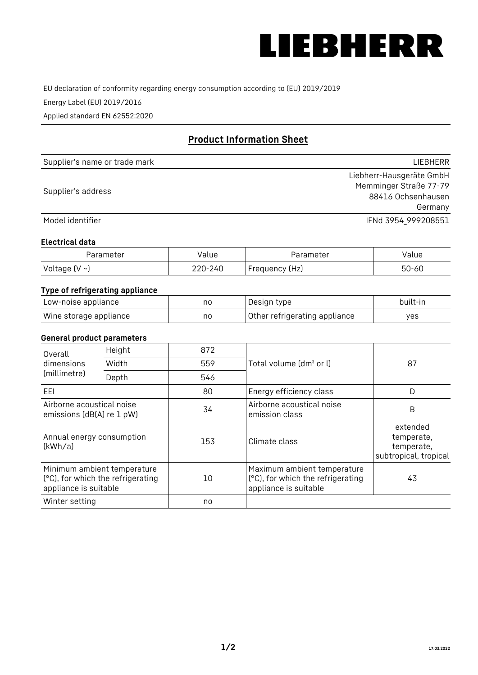

EU declaration of conformity regarding energy consumption according to (EU) 2019/2019

Energy Label (EU) 2019/2016

Applied standard EN 62552:2020

# **Product Information Sheet**

| Supplier's name or trade mark | <b>LIFBHFRR</b>          |
|-------------------------------|--------------------------|
|                               | Liebherr-Hausgeräte GmbH |
| Supplier's address            | Memminger Straße 77-79   |
|                               | 88416 Ochsenhausen       |
|                               | Germany                  |
| Model identifier              | IFNd 3954 999208551      |

#### **Electrical data**

| Parameter          | Value   | Parameter      | alue  |
|--------------------|---------|----------------|-------|
| Voltage $(V \sim)$ | 220-240 | Frequency (Hz) | 50-60 |

# **Type of refrigerating appliance**

| Low-noise appliance    | no | Design type                   | built-in |
|------------------------|----|-------------------------------|----------|
| Wine storage appliance | nc | Other refrigerating appliance | ves      |

## **General product parameters**

| Height<br>Overall                                      |                                                                  | 872 |                                                                                           |                                                               |
|--------------------------------------------------------|------------------------------------------------------------------|-----|-------------------------------------------------------------------------------------------|---------------------------------------------------------------|
| dimensions<br>(millimetre)                             | Width                                                            | 559 | Total volume (dm <sup>3</sup> or l)                                                       | 87                                                            |
|                                                        | Depth                                                            | 546 |                                                                                           |                                                               |
| EEL                                                    |                                                                  | 80  | Energy efficiency class                                                                   | D                                                             |
| Airborne acoustical noise<br>emissions (dB(A) re 1 pW) |                                                                  | 34  | Airborne acoustical noise<br>emission class                                               | B                                                             |
| Annual energy consumption<br>(kWh/a)                   |                                                                  | 153 | Climate class                                                                             | extended<br>temperate,<br>temperate,<br>subtropical, tropical |
| appliance is suitable                                  | Minimum ambient temperature<br>(°C), for which the refrigerating | 10  | Maximum ambient temperature<br>(°C), for which the refrigerating<br>appliance is suitable | 43                                                            |
| Winter setting                                         |                                                                  | no  |                                                                                           |                                                               |